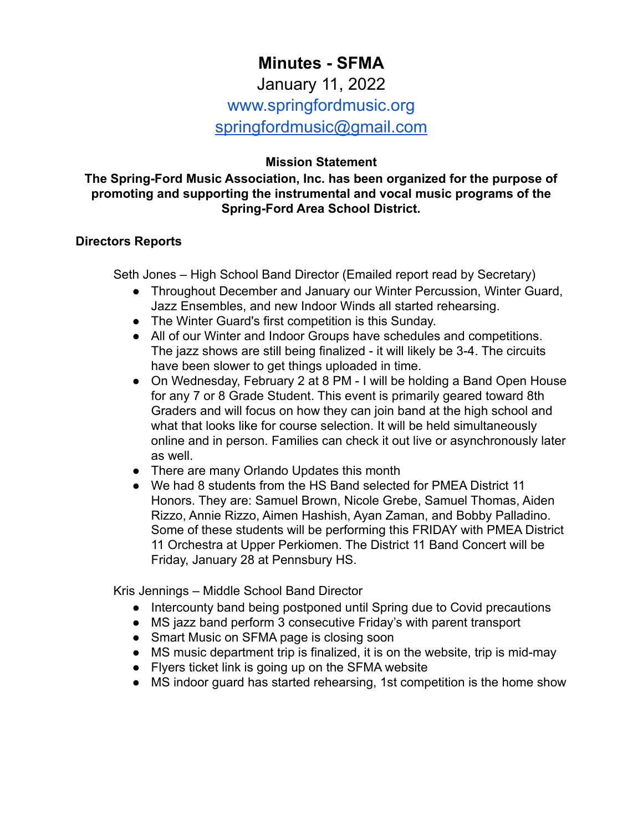# **Minutes - SFMA** January 11, 2022 www.springfordmusic.org [springfordmusic@gmail.com](mailto:springfordmusic@gmail.com)

## **Mission Statement**

#### **The Spring-Ford Music Association, Inc. has been organized for the purpose of promoting and supporting the instrumental and vocal music programs of the Spring-Ford Area School District.**

#### **Directors Reports**

Seth Jones – High School Band Director (Emailed report read by Secretary)

- Throughout December and January our Winter Percussion, Winter Guard, Jazz Ensembles, and new Indoor Winds all started rehearsing.
- The Winter Guard's first competition is this Sunday.
- All of our Winter and Indoor Groups have schedules and competitions. The jazz shows are still being finalized - it will likely be 3-4. The circuits have been slower to get things uploaded in time.
- On Wednesday, February 2 at 8 PM I will be holding a Band Open House for any 7 or 8 Grade Student. This event is primarily geared toward 8th Graders and will focus on how they can join band at the high school and what that looks like for course selection. It will be held simultaneously online and in person. Families can check it out live or asynchronously later as well.
- There are many Orlando Updates this month
- We had 8 students from the HS Band selected for PMEA District 11 Honors. They are: Samuel Brown, Nicole Grebe, Samuel Thomas, Aiden Rizzo, Annie Rizzo, Aimen Hashish, Ayan Zaman, and Bobby Palladino. Some of these students will be performing this FRIDAY with PMEA District 11 Orchestra at Upper Perkiomen. The District 11 Band Concert will be Friday, January 28 at Pennsbury HS.

Kris Jennings – Middle School Band Director

- Intercounty band being postponed until Spring due to Covid precautions
- MS jazz band perform 3 consecutive Friday's with parent transport
- Smart Music on SFMA page is closing soon
- MS music department trip is finalized, it is on the website, trip is mid-may
- Flyers ticket link is going up on the SFMA website
- MS indoor guard has started rehearsing, 1st competition is the home show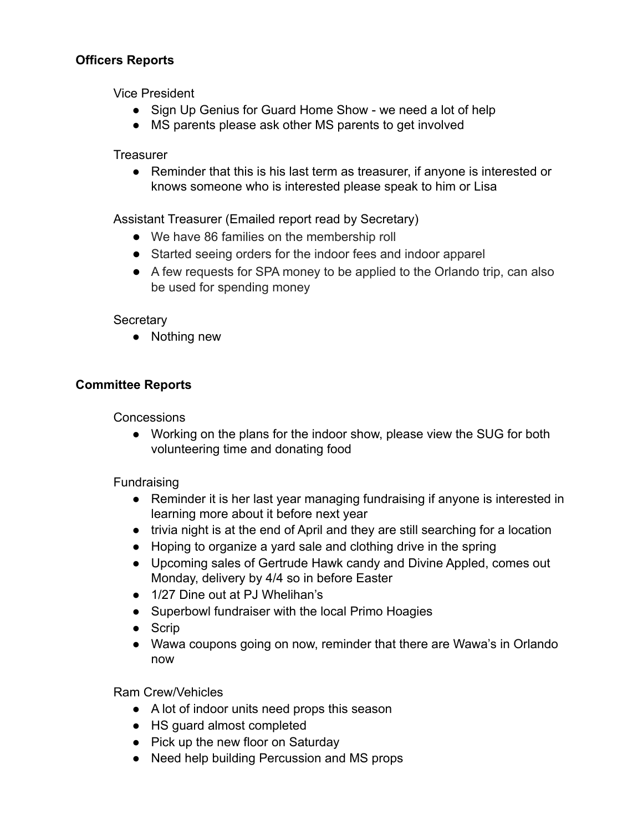## **Officers Reports**

Vice President

- Sign Up Genius for Guard Home Show we need a lot of help
- MS parents please ask other MS parents to get involved

**Treasurer** 

● Reminder that this is his last term as treasurer, if anyone is interested or knows someone who is interested please speak to him or Lisa

Assistant Treasurer (Emailed report read by Secretary)

- We have 86 families on the membership roll
- Started seeing orders for the indoor fees and indoor apparel
- A few requests for SPA money to be applied to the Orlando trip, can also be used for spending money

#### **Secretary**

● Nothing new

### **Committee Reports**

**Concessions** 

● Working on the plans for the indoor show, please view the SUG for both volunteering time and donating food

#### **Fundraising**

- Reminder it is her last year managing fundraising if anyone is interested in learning more about it before next year
- trivia night is at the end of April and they are still searching for a location
- Hoping to organize a yard sale and clothing drive in the spring
- Upcoming sales of Gertrude Hawk candy and Divine Appled, comes out Monday, delivery by 4/4 so in before Easter
- 1/27 Dine out at PJ Whelihan's
- Superbowl fundraiser with the local Primo Hoagies
- Scrip
- Wawa coupons going on now, reminder that there are Wawa's in Orlando now

Ram Crew/Vehicles

- A lot of indoor units need props this season
- HS guard almost completed
- Pick up the new floor on Saturday
- Need help building Percussion and MS props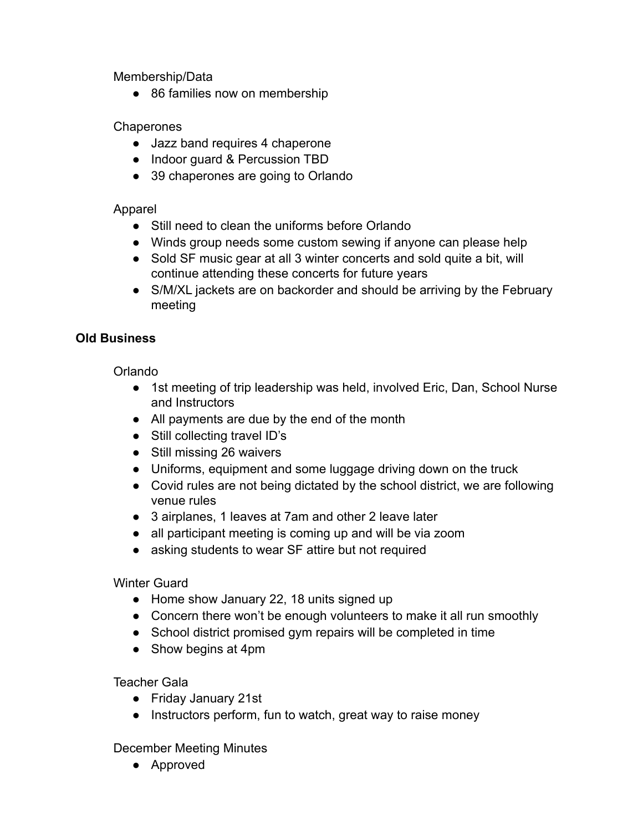Membership/Data

● 86 families now on membership

## **Chaperones**

- Jazz band requires 4 chaperone
- Indoor quard & Percussion TBD
- 39 chaperones are going to Orlando

## Apparel

- Still need to clean the uniforms before Orlando
- Winds group needs some custom sewing if anyone can please help
- Sold SF music gear at all 3 winter concerts and sold quite a bit, will continue attending these concerts for future years
- S/M/XL jackets are on backorder and should be arriving by the February meeting

## **Old Business**

Orlando

- 1st meeting of trip leadership was held, involved Eric, Dan, School Nurse and Instructors
- All payments are due by the end of the month
- Still collecting travel ID's
- Still missing 26 waivers
- Uniforms, equipment and some luggage driving down on the truck
- Covid rules are not being dictated by the school district, we are following venue rules
- 3 airplanes, 1 leaves at 7am and other 2 leave later
- all participant meeting is coming up and will be via zoom
- asking students to wear SF attire but not required

## Winter Guard

- Home show January 22, 18 units signed up
- Concern there won't be enough volunteers to make it all run smoothly
- School district promised gym repairs will be completed in time
- Show begins at 4pm

## Teacher Gala

- Friday January 21st
- Instructors perform, fun to watch, great way to raise money

December Meeting Minutes

● Approved